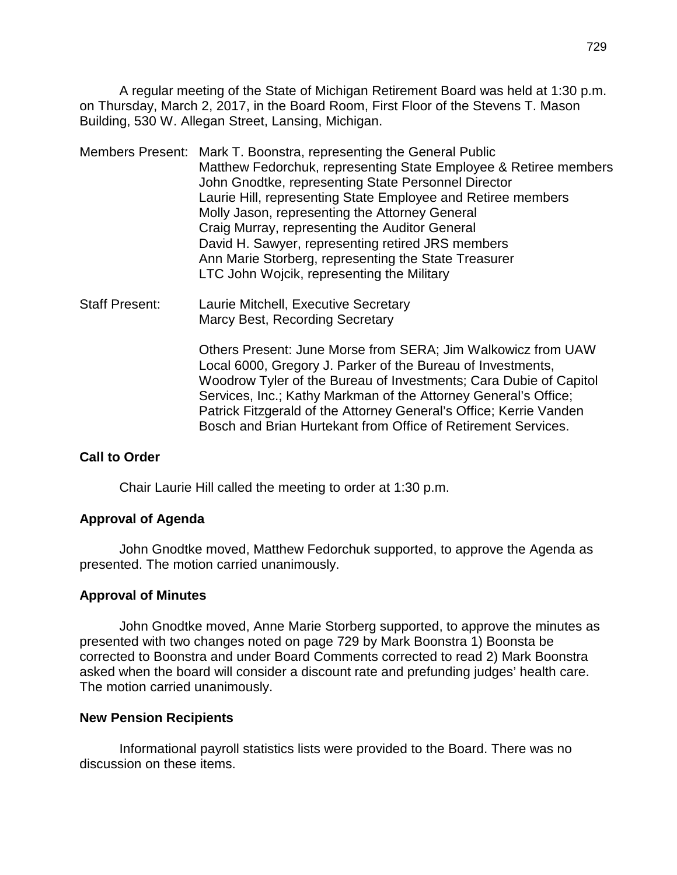A regular meeting of the State of Michigan Retirement Board was held at 1:30 p.m. on Thursday, March 2, 2017, in the Board Room, First Floor of the Stevens T. Mason Building, 530 W. Allegan Street, Lansing, Michigan.

- Members Present: Mark T. Boonstra, representing the General Public Matthew Fedorchuk, representing State Employee & Retiree members John Gnodtke, representing State Personnel Director Laurie Hill, representing State Employee and Retiree members Molly Jason, representing the Attorney General Craig Murray, representing the Auditor General David H. Sawyer, representing retired JRS members Ann Marie Storberg, representing the State Treasurer LTC John Wojcik, representing the Military
- Staff Present: Laurie Mitchell, Executive Secretary Marcy Best, Recording Secretary

Others Present: June Morse from SERA; Jim Walkowicz from UAW Local 6000, Gregory J. Parker of the Bureau of Investments, Woodrow Tyler of the Bureau of Investments; Cara Dubie of Capitol Services, Inc.; Kathy Markman of the Attorney General's Office; Patrick Fitzgerald of the Attorney General's Office; Kerrie Vanden Bosch and Brian Hurtekant from Office of Retirement Services.

#### **Call to Order**

Chair Laurie Hill called the meeting to order at 1:30 p.m.

#### **Approval of Agenda**

John Gnodtke moved, Matthew Fedorchuk supported, to approve the Agenda as presented. The motion carried unanimously.

#### **Approval of Minutes**

John Gnodtke moved, Anne Marie Storberg supported, to approve the minutes as presented with two changes noted on page 729 by Mark Boonstra 1) Boonsta be corrected to Boonstra and under Board Comments corrected to read 2) Mark Boonstra asked when the board will consider a discount rate and prefunding judges' health care. The motion carried unanimously.

#### **New Pension Recipients**

Informational payroll statistics lists were provided to the Board. There was no discussion on these items.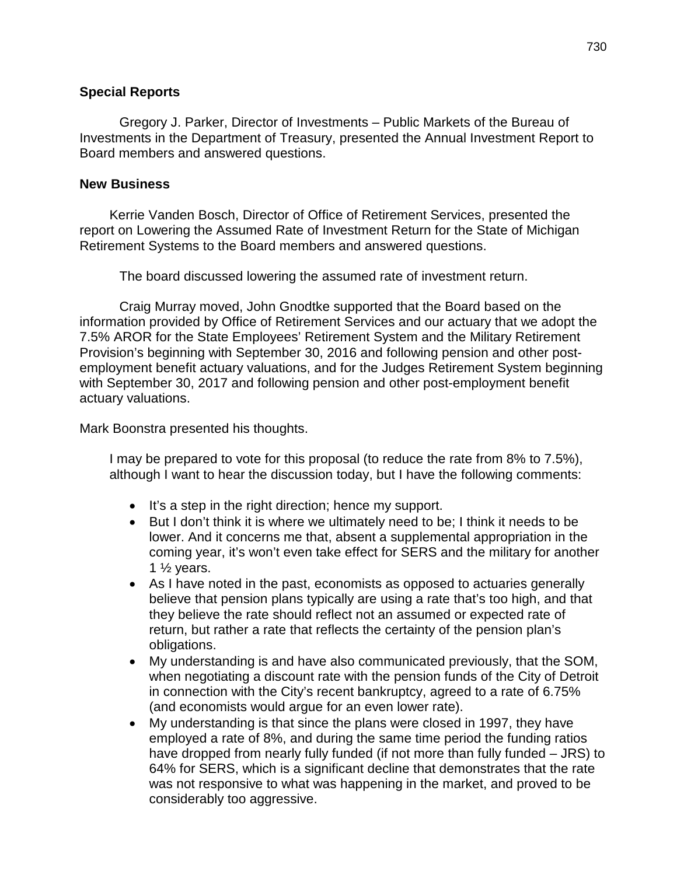#### **Special Reports**

Gregory J. Parker, Director of Investments – Public Markets of the Bureau of Investments in the Department of Treasury, presented the Annual Investment Report to Board members and answered questions.

#### **New Business**

Kerrie Vanden Bosch, Director of Office of Retirement Services, presented the report on Lowering the Assumed Rate of Investment Return for the State of Michigan Retirement Systems to the Board members and answered questions.

The board discussed lowering the assumed rate of investment return.

Craig Murray moved, John Gnodtke supported that the Board based on the information provided by Office of Retirement Services and our actuary that we adopt the 7.5% AROR for the State Employees' Retirement System and the Military Retirement Provision's beginning with September 30, 2016 and following pension and other postemployment benefit actuary valuations, and for the Judges Retirement System beginning with September 30, 2017 and following pension and other post-employment benefit actuary valuations.

Mark Boonstra presented his thoughts.

I may be prepared to vote for this proposal (to reduce the rate from 8% to 7.5%), although I want to hear the discussion today, but I have the following comments:

- It's a step in the right direction; hence my support.
- But I don't think it is where we ultimately need to be; I think it needs to be lower. And it concerns me that, absent a supplemental appropriation in the coming year, it's won't even take effect for SERS and the military for another 1  $\frac{1}{2}$  years.
- As I have noted in the past, economists as opposed to actuaries generally believe that pension plans typically are using a rate that's too high, and that they believe the rate should reflect not an assumed or expected rate of return, but rather a rate that reflects the certainty of the pension plan's obligations.
- My understanding is and have also communicated previously, that the SOM, when negotiating a discount rate with the pension funds of the City of Detroit in connection with the City's recent bankruptcy, agreed to a rate of 6.75% (and economists would argue for an even lower rate).
- My understanding is that since the plans were closed in 1997, they have employed a rate of 8%, and during the same time period the funding ratios have dropped from nearly fully funded (if not more than fully funded – JRS) to 64% for SERS, which is a significant decline that demonstrates that the rate was not responsive to what was happening in the market, and proved to be considerably too aggressive.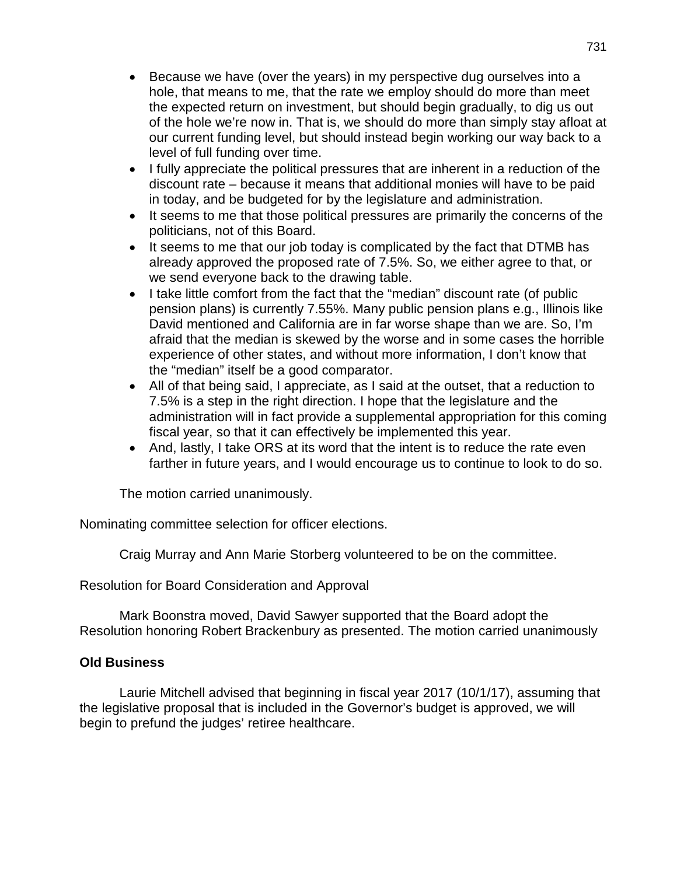- Because we have (over the years) in my perspective dug ourselves into a hole, that means to me, that the rate we employ should do more than meet the expected return on investment, but should begin gradually, to dig us out of the hole we're now in. That is, we should do more than simply stay afloat at our current funding level, but should instead begin working our way back to a level of full funding over time.
- I fully appreciate the political pressures that are inherent in a reduction of the discount rate – because it means that additional monies will have to be paid in today, and be budgeted for by the legislature and administration.
- It seems to me that those political pressures are primarily the concerns of the politicians, not of this Board.
- It seems to me that our job today is complicated by the fact that DTMB has already approved the proposed rate of 7.5%. So, we either agree to that, or we send everyone back to the drawing table.
- I take little comfort from the fact that the "median" discount rate (of public pension plans) is currently 7.55%. Many public pension plans e.g., Illinois like David mentioned and California are in far worse shape than we are. So, I'm afraid that the median is skewed by the worse and in some cases the horrible experience of other states, and without more information, I don't know that the "median" itself be a good comparator.
- All of that being said, I appreciate, as I said at the outset, that a reduction to 7.5% is a step in the right direction. I hope that the legislature and the administration will in fact provide a supplemental appropriation for this coming fiscal year, so that it can effectively be implemented this year.
- And, lastly, I take ORS at its word that the intent is to reduce the rate even farther in future years, and I would encourage us to continue to look to do so.

The motion carried unanimously.

Nominating committee selection for officer elections.

Craig Murray and Ann Marie Storberg volunteered to be on the committee.

Resolution for Board Consideration and Approval

Mark Boonstra moved, David Sawyer supported that the Board adopt the Resolution honoring Robert Brackenbury as presented. The motion carried unanimously

### **Old Business**

Laurie Mitchell advised that beginning in fiscal year 2017 (10/1/17), assuming that the legislative proposal that is included in the Governor's budget is approved, we will begin to prefund the judges' retiree healthcare.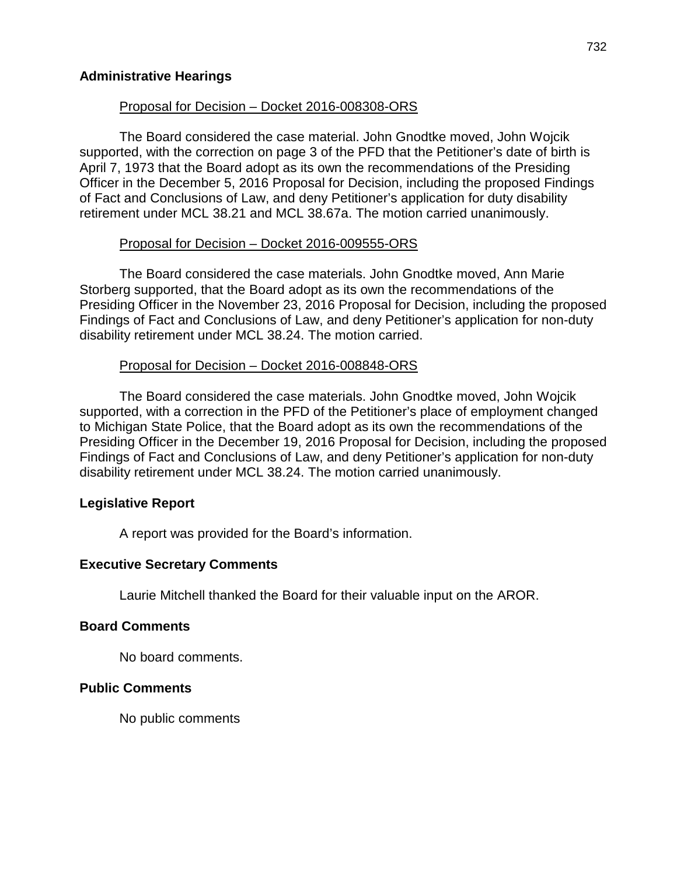### **Administrative Hearings**

### Proposal for Decision – Docket 2016-008308-ORS

The Board considered the case material. John Gnodtke moved, John Wojcik supported, with the correction on page 3 of the PFD that the Petitioner's date of birth is April 7, 1973 that the Board adopt as its own the recommendations of the Presiding Officer in the December 5, 2016 Proposal for Decision, including the proposed Findings of Fact and Conclusions of Law, and deny Petitioner's application for duty disability retirement under MCL 38.21 and MCL 38.67a. The motion carried unanimously.

### Proposal for Decision – Docket 2016-009555-ORS

The Board considered the case materials. John Gnodtke moved, Ann Marie Storberg supported, that the Board adopt as its own the recommendations of the Presiding Officer in the November 23, 2016 Proposal for Decision, including the proposed Findings of Fact and Conclusions of Law, and deny Petitioner's application for non-duty disability retirement under MCL 38.24. The motion carried.

## Proposal for Decision – Docket 2016-008848-ORS

The Board considered the case materials. John Gnodtke moved, John Wojcik supported, with a correction in the PFD of the Petitioner's place of employment changed to Michigan State Police, that the Board adopt as its own the recommendations of the Presiding Officer in the December 19, 2016 Proposal for Decision, including the proposed Findings of Fact and Conclusions of Law, and deny Petitioner's application for non-duty disability retirement under MCL 38.24. The motion carried unanimously.

## **Legislative Report**

A report was provided for the Board's information.

## **Executive Secretary Comments**

Laurie Mitchell thanked the Board for their valuable input on the AROR.

### **Board Comments**

No board comments.

## **Public Comments**

No public comments